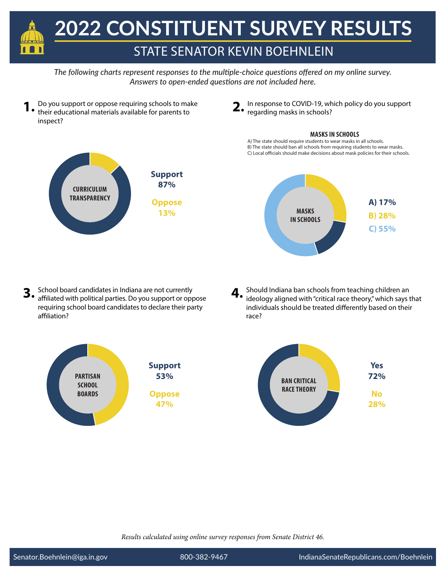

- **1.** Do you support or oppose requiring schools to make their educational materials available for parents to inspect?
	- **CURRICULUM TRANSPARENCY Support 87% Oppose 13%**
- **2.** In response to COVID-19, which policy do you support regarding masks in schools?

### **MASKS IN SCHOOLS**

A) The state should require students to wear masks in all schools. B) The state should ban all schools from requiring students to wear masks. C) Local officials should make decisions about mask policies for their schools.



- **3.** School board candidates in Indiana are not currently affiliated with political parties. Do you support or oppose requiring school board candidates to declare their party affiliation?
- **4.** Should Indiana ban schools from teaching children an ideology aligned with "critical race theory," which says that individuals should be treated differently based on their race?

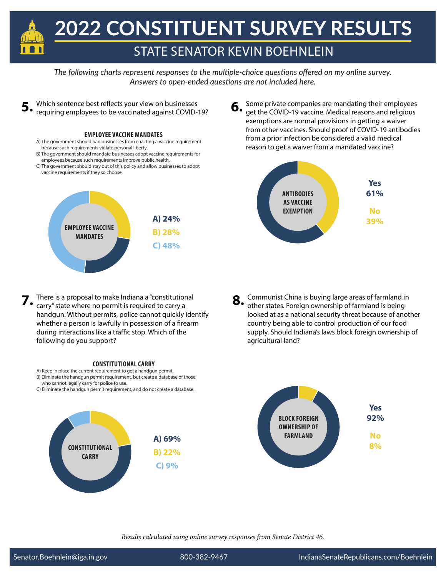

Which sentence best reflects your view on businesses requiring employees to be vaccinated against COVID-19?

### **EMPLOYEE VACCINE MANDATES**

- A) The government should ban businesses from enacting a vaccine requirement because such requirements violate personal liberty.
- B) The government should mandate businesses adopt vaccine requirements for employees because such requirements improve public health.
- C) The government should stay out of this policy and allow businesses to adopt vaccine requirements if they so choose.



**5. 6.** Some private companies are mandating their employees get the COVID-19 vaccine. Medical reasons and religious exemptions are normal provisions in getting a waiver from other vaccines. Should proof of COVID-19 antibodies from a prior infection be considered a valid medical reason to get a waiver from a mandated vaccine?



- There is a proposal to make Indiana a "constitutional carry" state where no permit is required to carry a handgun. Without permits, police cannot quickly identify whether a person is lawfully in possession of a firearm during interactions like a traffic stop. Which of the following do you support?
- **7.** Communist China is buying large areas of farmland in other states. Foreign ownership of farmland is being looked at as a national security threat because of another country being able to control production of our food supply. Should Indiana's laws block foreign ownership of agricultural land? **8.**



### **CONSTITUTIONAL CARRY**

- A) Keep in place the current requirement to get a handgun permit. B) Eliminate the handgun permit requirement, but create a database of those
- who cannot legally carry for police to use.
- C) Eliminate the handgun permit requirement, and do not create a database.

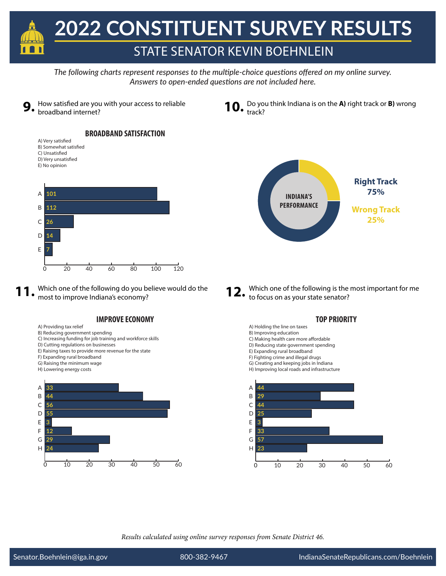



# **BROADBAND SATISFACTION**

A) Very satisfied B) Somewhat satisfied C) Unsatisfied D) Very unsatisfied E) No opinion



**11.** Which one of the following do you believe would do the most to improve Indiana's economy?

## **IMPROVE ECONOMY**

- A) Providing tax relief
- B) Reducing government spending C) Increasing funding for job training and workforce skills
- D) Cutting regulations on businesses
- E) Raising taxes to provide more revenue for the state
- F) Expanding rural broadband
- G) Raising the minimum wage
- H) Lowering energy costs



**10.** Do you think Indiana is on the **A)** right track or **B)** wrong track?



Which one of the following is the most important for me to focus on as your state senator? **12.**

## **TOP PRIORITY**

- A) Holding the line on taxes
- B) Improving education
- C) Making health care more affordable
- D) Reducing state government spending E) Expanding rural broadband
- F) Fighting crime and illegal drugs
- G) Creating and keeping jobs in Indiana
- H) Improving local roads and infrastructure